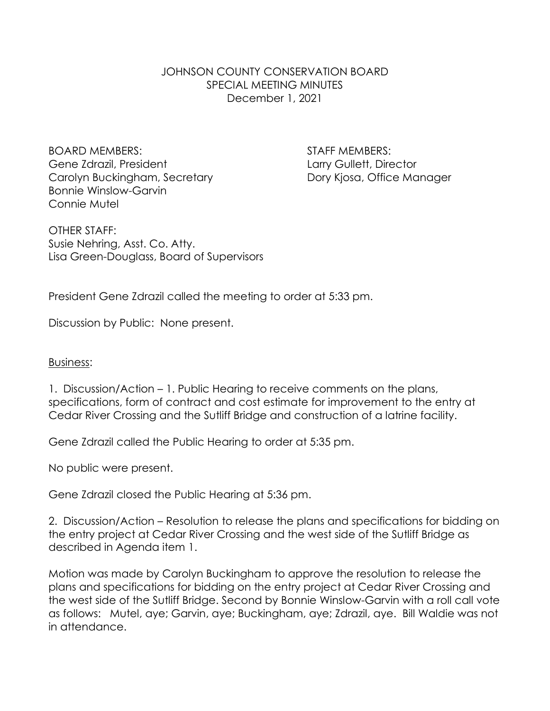JOHNSON COUNTY CONSERVATION BOARD SPECIAL MEETING MINUTES December 1, 2021

BOARD MEMBERS: STAFF MEMBERS: Gene Zdrazil, President Larry Gullett, Director Carolyn Buckingham, Secretary **Dory Kiosa, Office Manager** Bonnie Winslow-Garvin Connie Mutel

OTHER STAFF: Susie Nehring, Asst. Co. Atty. Lisa Green-Douglass, Board of Supervisors

President Gene Zdrazil called the meeting to order at 5:33 pm.

Discussion by Public: None present.

## Business:

1. Discussion/Action – 1. Public Hearing to receive comments on the plans, specifications, form of contract and cost estimate for improvement to the entry at Cedar River Crossing and the Sutliff Bridge and construction of a latrine facility.

Gene Zdrazil called the Public Hearing to order at 5:35 pm.

No public were present.

Gene Zdrazil closed the Public Hearing at 5:36 pm.

2. Discussion/Action – Resolution to release the plans and specifications for bidding on the entry project at Cedar River Crossing and the west side of the Sutliff Bridge as described in Agenda item 1.

Motion was made by Carolyn Buckingham to approve the resolution to release the plans and specifications for bidding on the entry project at Cedar River Crossing and the west side of the Sutliff Bridge. Second by Bonnie Winslow-Garvin with a roll call vote as follows: Mutel, aye; Garvin, aye; Buckingham, aye; Zdrazil, aye. Bill Waldie was not in attendance.